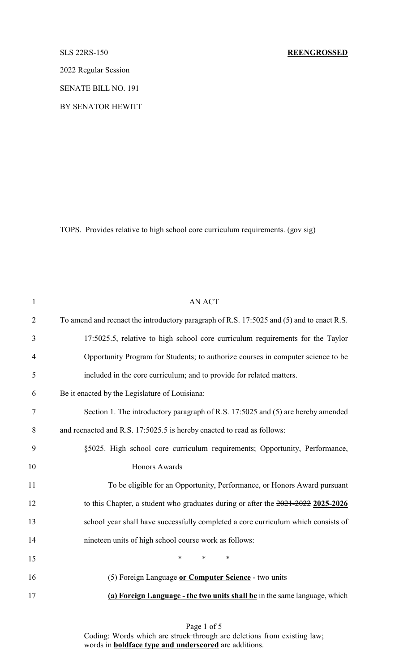2022 Regular Session

SENATE BILL NO. 191

BY SENATOR HEWITT

TOPS. Provides relative to high school core curriculum requirements. (gov sig)

| $\mathbf{1}$   | <b>AN ACT</b>                                                                             |
|----------------|-------------------------------------------------------------------------------------------|
| $\overline{2}$ | To amend and reenact the introductory paragraph of R.S. 17:5025 and (5) and to enact R.S. |
| 3              | 17:5025.5, relative to high school core curriculum requirements for the Taylor            |
| 4              | Opportunity Program for Students; to authorize courses in computer science to be          |
| 5              | included in the core curriculum; and to provide for related matters.                      |
| 6              | Be it enacted by the Legislature of Louisiana:                                            |
| $\tau$         | Section 1. The introductory paragraph of R.S. 17:5025 and (5) are hereby amended          |
| $8\,$          | and reenacted and R.S. 17:5025.5 is hereby enacted to read as follows:                    |
| 9              | §5025. High school core curriculum requirements; Opportunity, Performance,                |
| 10             | <b>Honors Awards</b>                                                                      |
| 11             | To be eligible for an Opportunity, Performance, or Honors Award pursuant                  |
| 12             | to this Chapter, a student who graduates during or after the $2021 - 2022$ 2025-2026      |
| 13             | school year shall have successfully completed a core curriculum which consists of         |
| 14             | nineteen units of high school course work as follows:                                     |
| 15             | $\ast$<br>$\ast$<br>$\ast$                                                                |
| 16             | (5) Foreign Language or Computer Science - two units                                      |
| 17             | (a) Foreign Language - the two units shall be in the same language, which                 |

Page 1 of 5 Coding: Words which are struck through are deletions from existing law; words in **boldface type and underscored** are additions.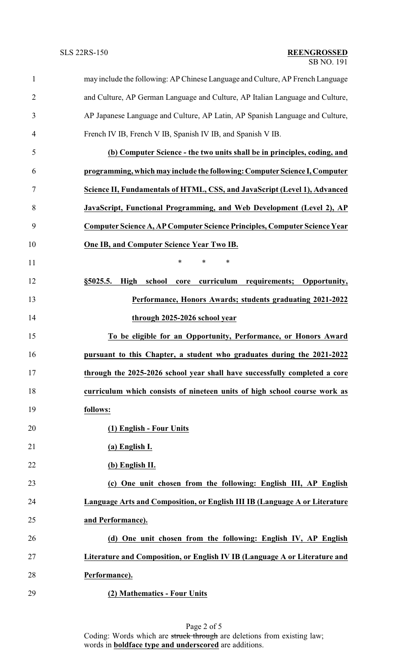| $\mathbf{1}$   | may include the following: AP Chinese Language and Culture, AP French Language |
|----------------|--------------------------------------------------------------------------------|
| $\overline{2}$ | and Culture, AP German Language and Culture, AP Italian Language and Culture,  |
| 3              | AP Japanese Language and Culture, AP Latin, AP Spanish Language and Culture,   |
| $\overline{4}$ | French IV IB, French V IB, Spanish IV IB, and Spanish V IB.                    |
| 5              | (b) Computer Science - the two units shall be in principles, coding, and       |
| 6              | programming, which may include the following: Computer Science I, Computer     |
| 7              | Science II, Fundamentals of HTML, CSS, and JavaScript (Level 1), Advanced      |
| 8              | JavaScript, Functional Programming, and Web Development (Level 2), AP          |
| 9              | Computer Science A, AP Computer Science Principles, Computer Science Year      |
| 10             | <b>One IB, and Computer Science Year Two IB.</b>                               |
| 11             | $\ast$<br>$\ast$<br>$\ast$                                                     |
| 12             | core curriculum requirements; Opportunity,<br>school<br>§5025.5.<br>High       |
| 13             | Performance, Honors Awards; students graduating 2021-2022                      |
| 14             | through 2025-2026 school year                                                  |
| 15             | To be eligible for an Opportunity, Performance, or Honors Award                |
| 16             | pursuant to this Chapter, a student who graduates during the 2021-2022         |
| 17             | through the 2025-2026 school year shall have successfully completed a core     |
| 18             | curriculum which consists of nineteen units of high school course work as      |
| 19             | follows:                                                                       |
| 20             | (1) English - Four Units                                                       |
| 21             | (a) English I.                                                                 |
| 22             | (b) English II.                                                                |
| 23             | (c) One unit chosen from the following: English III, AP English                |
| 24             | Language Arts and Composition, or English III IB (Language A or Literature     |
| 25             | and Performance).                                                              |
| 26             | (d) One unit chosen from the following: English IV, AP English                 |
| 27             | Literature and Composition, or English IV IB (Language A or Literature and     |
| 28             | Performance).                                                                  |
| 29             | (2) Mathematics - Four Units                                                   |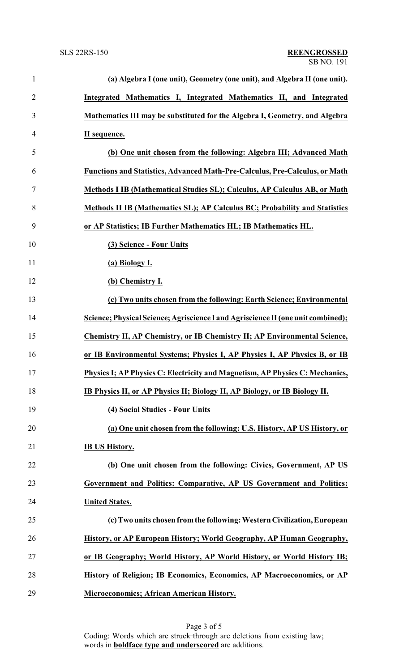| $\mathbf{1}$   | (a) Algebra I (one unit), Geometry (one unit), and Algebra II (one unit).        |
|----------------|----------------------------------------------------------------------------------|
|                |                                                                                  |
| $\overline{2}$ | Integrated Mathematics I, Integrated Mathematics II, and Integrated              |
| 3              | Mathematics III may be substituted for the Algebra I, Geometry, and Algebra      |
| $\overline{4}$ | II sequence.                                                                     |
| 5              | (b) One unit chosen from the following: Algebra III; Advanced Math               |
| 6              | Functions and Statistics, Advanced Math-Pre-Calculus, Pre-Calculus, or Math      |
| $\tau$         | Methods I IB (Mathematical Studies SL); Calculus, AP Calculus AB, or Math        |
| 8              | Methods II IB (Mathematics SL); AP Calculus BC; Probability and Statistics       |
| 9              | or AP Statistics; IB Further Mathematics HL; IB Mathematics HL.                  |
| 10             | (3) Science - Four Units                                                         |
| 11             | (a) Biology I.                                                                   |
| 12             | (b) Chemistry I.                                                                 |
| 13             | (c) Two units chosen from the following: Earth Science; Environmental            |
| 14             | Science; Physical Science; Agriscience I and Agriscience II (one unit combined); |
| 15             | Chemistry II, AP Chemistry, or IB Chemistry II; AP Environmental Science,        |
| 16             | or IB Environmental Systems; Physics I, AP Physics I, AP Physics B, or IB        |
| 17             | Physics I; AP Physics C: Electricity and Magnetism, AP Physics C: Mechanics,     |
| 18             | IB Physics II, or AP Physics II; Biology II, AP Biology, or IB Biology II.       |
| 19             | (4) Social Studies - Four Units                                                  |
| 20             | (a) One unit chosen from the following: U.S. History, AP US History, or          |
| 21             | <b>IB US History.</b>                                                            |
| 22             | (b) One unit chosen from the following: Civics, Government, AP US                |
| 23             | Government and Politics: Comparative, AP US Government and Politics:             |
| 24             | <b>United States.</b>                                                            |
| 25             | (c) Two units chosen from the following: Western Civilization, European          |
| 26             | History, or AP European History; World Geography, AP Human Geography,            |
| 27             | or IB Geography; World History, AP World History, or World History IB;           |
| 28             | History of Religion; IB Economics, Economics, AP Macroeconomics, or AP           |
| 29             | Microeconomics; African American History.                                        |
|                |                                                                                  |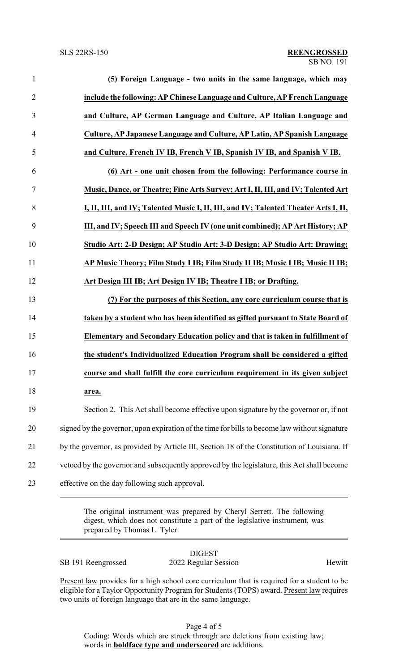| $\mathbf{1}$   | (5) Foreign Language - two units in the same language, which may                              |
|----------------|-----------------------------------------------------------------------------------------------|
| $\overline{2}$ | include the following: AP Chinese Language and Culture, AP French Language                    |
| 3              | and Culture, AP German Language and Culture, AP Italian Language and                          |
| $\overline{4}$ | Culture, AP Japanese Language and Culture, AP Latin, AP Spanish Language                      |
| 5              | and Culture, French IV IB, French V IB, Spanish IV IB, and Spanish V IB.                      |
| 6              | (6) Art - one unit chosen from the following: Performance course in                           |
| $\tau$         | Music, Dance, or Theatre; Fine Arts Survey; Art I, II, III, and IV; Talented Art              |
| 8              | I, II, III, and IV; Talented Music I, II, III, and IV; Talented Theater Arts I, II,           |
| 9              | III, and IV; Speech III and Speech IV (one unit combined); AP Art History; AP                 |
| 10             | Studio Art: 2-D Design; AP Studio Art: 3-D Design; AP Studio Art: Drawing;                    |
| 11             | AP Music Theory; Film Study I IB; Film Study II IB; Music I IB; Music II IB;                  |
| 12             | Art Design III IB; Art Design IV IB; Theatre I IB; or Drafting.                               |
| 13             | (7) For the purposes of this Section, any core curriculum course that is                      |
| 14             | taken by a student who has been identified as gifted pursuant to State Board of               |
| 15             | Elementary and Secondary Education policy and that is taken in fulfillment of                 |
| 16             | the student's Individualized Education Program shall be considered a gifted                   |
| 17             | course and shall fulfill the core curriculum requirement in its given subject                 |
| 18             | area.                                                                                         |
| 19             | Section 2. This Act shall become effective upon signature by the governor or, if not          |
| 20             | signed by the governor, upon expiration of the time for bills to become law without signature |
| 21             | by the governor, as provided by Article III, Section 18 of the Constitution of Louisiana. If  |
| 22             | vetoed by the governor and subsequently approved by the legislature, this Act shall become    |
| 23             | effective on the day following such approval.                                                 |
|                |                                                                                               |

The original instrument was prepared by Cheryl Serrett. The following digest, which does not constitute a part of the legislative instrument, was prepared by Thomas L. Tyler.

## DIGEST SB 191 Reengrossed 2022 Regular Session Hewitt

Present law provides for a high school core curriculum that is required for a student to be eligible for a Taylor Opportunity Program for Students (TOPS) award. Present law requires two units of foreign language that are in the same language.

Page 4 of 5 Coding: Words which are struck through are deletions from existing law; words in **boldface type and underscored** are additions.